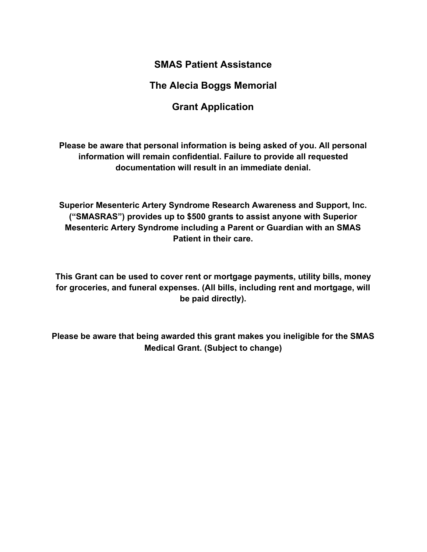## **SMAS Patient Assistance**

**The Alecia Boggs Memorial**

## **Grant Application**

**Please be aware that personal information is being asked of you. All personal information will remain confidential. Failure to provide all requested documentation will result in an immediate denial.**

**Superior Mesenteric Artery Syndrome Research Awareness and Support, Inc. ("SMASRAS") provides up to \$500 grants to assist anyone with Superior Mesenteric Artery Syndrome including a Parent or Guardian with an SMAS Patient in their care.**

**This Grant can be used to cover rent or mortgage payments, utility bills, money for groceries, and funeral expenses. (All bills, including rent and mortgage, will be paid directly).**

**Please be aware that being awarded this grant makes you ineligible for the SMAS Medical Grant. (Subject to change)**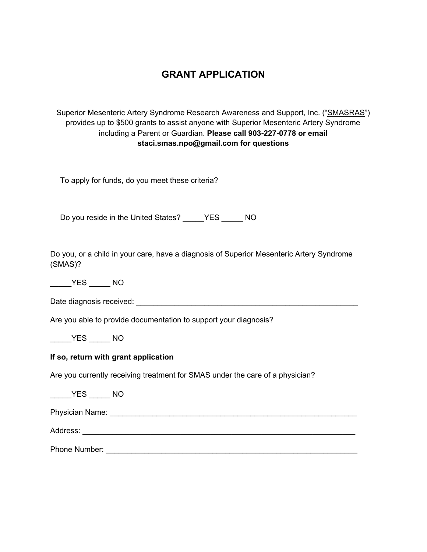# **GRANT APPLICATION**

Superior Mesenteric Artery Syndrome Research Awareness and Support, Inc. ("SMASRAS") provides up to \$500 grants to assist anyone with Superior Mesenteric Artery Syndrome including a Parent or Guardian. **Please call 903-227-0778 or email staci.smas.npo@gmail.com for questions**

To apply for funds, do you meet these criteria?

Do you reside in the United States? \_\_\_\_\_\_ YES \_\_\_\_\_\_ NO

Do you, or a child in your care, have a diagnosis of Superior Mesenteric Artery Syndrome (SMAS)?

\_\_\_\_\_YES \_\_\_\_\_ NO

Date diagnosis received: \_\_\_\_\_\_\_\_\_\_\_\_\_\_\_\_\_\_\_\_\_\_\_\_\_\_\_\_\_\_\_\_\_\_\_\_\_\_\_\_\_\_\_\_\_\_\_\_\_\_\_\_

Are you able to provide documentation to support your diagnosis?

\_\_\_\_\_YES \_\_\_\_\_ NO

#### **If so, return with grant application**

Are you currently receiving treatment for SMAS under the care of a physician?

\_\_\_\_\_YES \_\_\_\_\_ NO

Physician Name: \_\_\_\_\_\_\_\_\_\_\_\_\_\_\_\_\_\_\_\_\_\_\_\_\_\_\_\_\_\_\_\_\_\_\_\_\_\_\_\_\_\_\_\_\_\_\_\_\_\_\_\_\_\_\_\_\_\_

Address: \_\_\_\_\_\_\_\_\_\_\_\_\_\_\_\_\_\_\_\_\_\_\_\_\_\_\_\_\_\_\_\_\_\_\_\_\_\_\_\_\_\_\_\_\_\_\_\_\_\_\_\_\_\_\_\_\_\_\_\_\_\_\_\_

Phone Number:  $\blacksquare$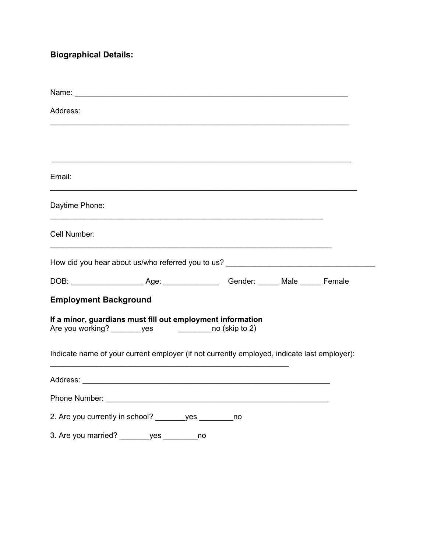**Biographical Details:**

| Address:                                                                                                       |                                                                                  |  |  |  |  |
|----------------------------------------------------------------------------------------------------------------|----------------------------------------------------------------------------------|--|--|--|--|
|                                                                                                                |                                                                                  |  |  |  |  |
|                                                                                                                |                                                                                  |  |  |  |  |
| Email:                                                                                                         |                                                                                  |  |  |  |  |
| Daytime Phone:                                                                                                 |                                                                                  |  |  |  |  |
| Cell Number:                                                                                                   |                                                                                  |  |  |  |  |
|                                                                                                                | How did you hear about us/who referred you to us? ______________________________ |  |  |  |  |
|                                                                                                                |                                                                                  |  |  |  |  |
| <b>Employment Background</b>                                                                                   |                                                                                  |  |  |  |  |
| If a minor, guardians must fill out employment information<br>Are you working? _________ yes<br>no (skip to 2) |                                                                                  |  |  |  |  |
| Indicate name of your current employer (if not currently employed, indicate last employer):                    |                                                                                  |  |  |  |  |
|                                                                                                                |                                                                                  |  |  |  |  |
|                                                                                                                |                                                                                  |  |  |  |  |
|                                                                                                                | 2. Are you currently in school? ________ yes __________ no                       |  |  |  |  |
|                                                                                                                | 3. Are you married? _________ yes ___________ no                                 |  |  |  |  |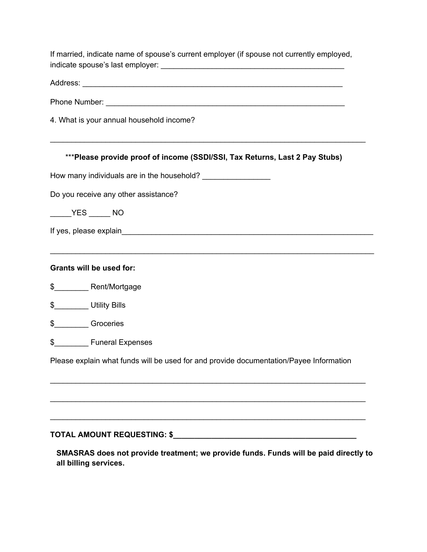If married, indicate name of spouse's current employer (if spouse not currently employed, indicate spouse's last employer: \_\_\_\_\_\_\_\_\_\_\_\_\_\_\_\_\_\_\_\_\_\_\_\_\_\_\_\_\_\_\_\_\_\_\_\_\_\_\_\_\_\_\_

Address: \_\_\_\_\_\_\_\_\_\_\_\_\_\_\_\_\_\_\_\_\_\_\_\_\_\_\_\_\_\_\_\_\_\_\_\_\_\_\_\_\_\_\_\_\_\_\_\_\_\_\_\_\_\_\_\_\_\_\_\_\_

Phone Number: \_\_\_\_\_\_\_\_\_\_\_\_\_\_\_\_\_\_\_\_\_\_\_\_\_\_\_\_\_\_\_\_\_\_\_\_\_\_\_\_\_\_\_\_\_\_\_\_\_\_\_\_\_\_\_\_

4. What is your annual household income?

### \*\*\***Please provide proof of income (SSDI/SSI, Tax Returns, Last 2 Pay Stubs)**

\_\_\_\_\_\_\_\_\_\_\_\_\_\_\_\_\_\_\_\_\_\_\_\_\_\_\_\_\_\_\_\_\_\_\_\_\_\_\_\_\_\_\_\_\_\_\_\_\_\_\_\_\_\_\_\_\_\_\_\_\_\_\_\_\_\_\_\_\_\_\_\_\_\_

\_\_\_\_\_\_\_\_\_\_\_\_\_\_\_\_\_\_\_\_\_\_\_\_\_\_\_\_\_\_\_\_\_\_\_\_\_\_\_\_\_\_\_\_\_\_\_\_\_\_\_\_\_\_\_\_\_\_\_\_\_\_\_\_\_\_\_\_\_\_\_\_\_\_\_\_

How many individuals are in the household?

Do you receive any other assistance?

\_\_\_\_\_YES \_\_\_\_\_ NO

If yes, please explain

**Grants will be used for:**

\$\_\_\_\_\_\_\_\_ Rent/Mortgage

\$\_\_\_\_\_\_\_\_ Utility Bills

\$\_\_\_\_\_\_\_\_ Groceries

\$\_\_\_\_\_\_\_\_ Funeral Expenses

Please explain what funds will be used for and provide documentation/Payee Information

\_\_\_\_\_\_\_\_\_\_\_\_\_\_\_\_\_\_\_\_\_\_\_\_\_\_\_\_\_\_\_\_\_\_\_\_\_\_\_\_\_\_\_\_\_\_\_\_\_\_\_\_\_\_\_\_\_\_\_\_\_\_\_\_\_\_\_\_\_\_\_\_\_\_

\_\_\_\_\_\_\_\_\_\_\_\_\_\_\_\_\_\_\_\_\_\_\_\_\_\_\_\_\_\_\_\_\_\_\_\_\_\_\_\_\_\_\_\_\_\_\_\_\_\_\_\_\_\_\_\_\_\_\_\_\_\_\_\_\_\_\_\_\_\_\_\_\_\_

\_\_\_\_\_\_\_\_\_\_\_\_\_\_\_\_\_\_\_\_\_\_\_\_\_\_\_\_\_\_\_\_\_\_\_\_\_\_\_\_\_\_\_\_\_\_\_\_\_\_\_\_\_\_\_\_\_\_\_\_\_\_\_\_\_\_\_\_\_\_\_\_\_\_

#### **TOTAL AMOUNT REQUESTING: \$\_\_\_\_\_\_\_\_\_\_\_\_\_\_\_\_\_\_\_\_\_\_\_\_\_\_\_\_\_\_\_\_\_\_\_\_\_\_\_\_\_\_\_**

**SMASRAS does not provide treatment; we provide funds. Funds will be paid directly to all billing services.**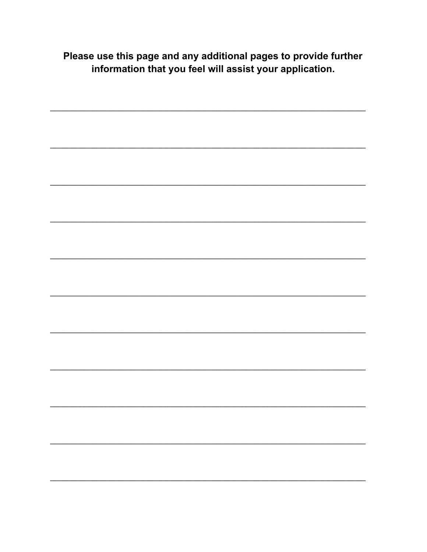Please use this page and any additional pages to provide further information that you feel will assist your application.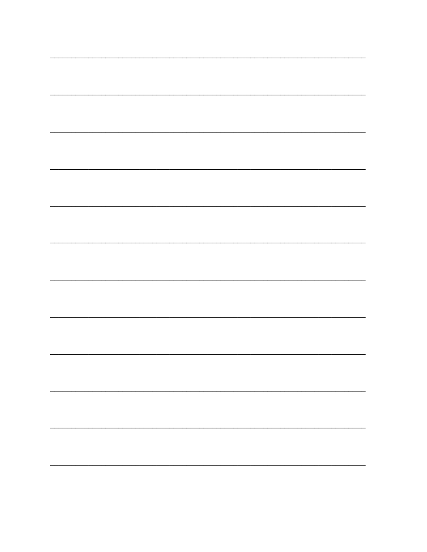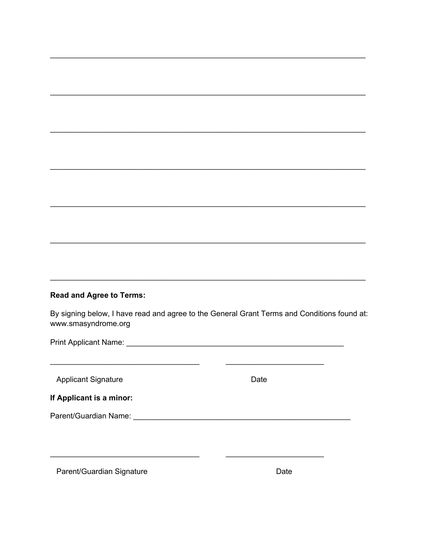#### **Read and Agree to Terms:**

By signing below, I have read and agree to the General Grant Terms and Conditions found at: www.smasyndrome.org

**Applicant Signature** 

| . .<br>۰.<br>×<br>×<br>× |
|--------------------------|
|--------------------------|

If Applicant is a minor:

| Parent/Guardian Name: |  |
|-----------------------|--|
|-----------------------|--|

Parent/Guardian Signature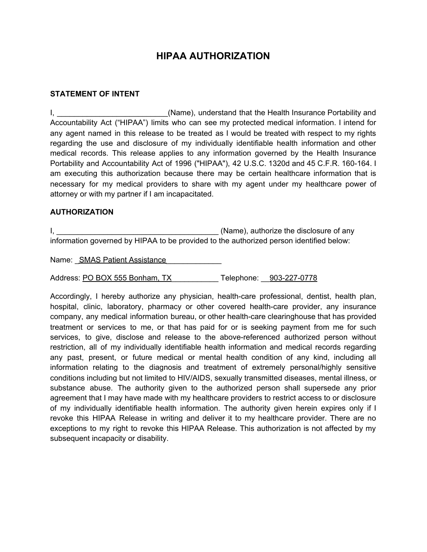# **HIPAA AUTHORIZATION**

#### **STATEMENT OF INTENT**

I, **I** is a set of the Insurance Portability and  $\alpha$  (Name), understand that the Health Insurance Portability and Accountability Act ("HIPAA") limits who can see my protected medical information. I intend for any agent named in this release to be treated as I would be treated with respect to my rights regarding the use and disclosure of my individually identifiable health information and other medical records. This release applies to any information governed by the Health Insurance Portability and Accountability Act of 1996 ("HIPAA"), 42 U.S.C. 1320d and 45 C.F.R. 160-164. I am executing this authorization because there may be certain healthcare information that is necessary for my medical providers to share with my agent under my healthcare power of attorney or with my partner if I am incapacitated.

#### **AUTHORIZATION**

I, **I** and the disclosure of any  $\alpha$  (Name), authorize the disclosure of any information governed by HIPAA to be provided to the authorized person identified below:

Name: SMAS Patient Assistance

Address: PO BOX 555 Bonham, TX Telephone: 203-227-0778

Accordingly, I hereby authorize any physician, health-care professional, dentist, health plan, hospital, clinic, laboratory, pharmacy or other covered health-care provider, any insurance company, any medical information bureau, or other health-care clearinghouse that has provided treatment or services to me, or that has paid for or is seeking payment from me for such services, to give, disclose and release to the above-referenced authorized person without restriction, all of my individually identifiable health information and medical records regarding any past, present, or future medical or mental health condition of any kind, including all information relating to the diagnosis and treatment of extremely personal/highly sensitive conditions including but not limited to HIV/AIDS, sexually transmitted diseases, mental illness, or substance abuse. The authority given to the authorized person shall supersede any prior agreement that I may have made with my healthcare providers to restrict access to or disclosure of my individually identifiable health information. The authority given herein expires only if I revoke this HIPAA Release in writing and deliver it to my healthcare provider. There are no exceptions to my right to revoke this HIPAA Release. This authorization is not affected by my subsequent incapacity or disability.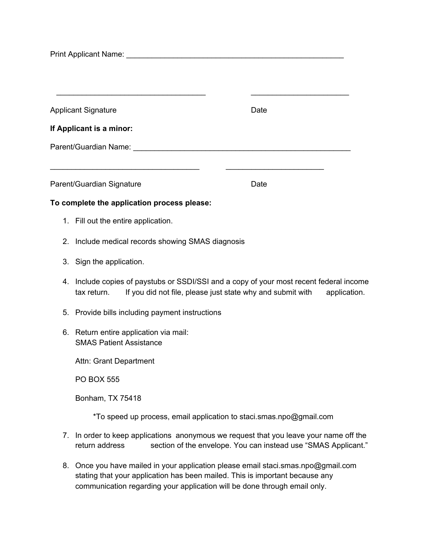Print Applicant Name: \_\_\_\_\_\_\_\_\_\_\_\_\_\_\_\_\_\_\_\_\_\_\_\_\_\_\_\_\_\_\_\_\_\_\_\_\_\_\_\_\_\_\_\_\_\_\_\_\_\_\_

| <b>Applicant Signature</b> |                                                                                                                                                                                   | Date |  |  |  |
|----------------------------|-----------------------------------------------------------------------------------------------------------------------------------------------------------------------------------|------|--|--|--|
|                            | If Applicant is a minor:                                                                                                                                                          |      |  |  |  |
|                            |                                                                                                                                                                                   |      |  |  |  |
|                            |                                                                                                                                                                                   |      |  |  |  |
| Parent/Guardian Signature  |                                                                                                                                                                                   | Date |  |  |  |
|                            | To complete the application process please:                                                                                                                                       |      |  |  |  |
|                            | 1. Fill out the entire application.                                                                                                                                               |      |  |  |  |
| 2.                         | Include medical records showing SMAS diagnosis                                                                                                                                    |      |  |  |  |
|                            | 3. Sign the application.                                                                                                                                                          |      |  |  |  |
| 4.                         | Include copies of paystubs or SSDI/SSI and a copy of your most recent federal income<br>If you did not file, please just state why and submit with<br>tax return.<br>application. |      |  |  |  |
| 5.                         | Provide bills including payment instructions                                                                                                                                      |      |  |  |  |
|                            | 6. Return entire application via mail:<br><b>SMAS Patient Assistance</b>                                                                                                          |      |  |  |  |
|                            | Attn: Grant Department                                                                                                                                                            |      |  |  |  |
|                            | <b>PO BOX 555</b>                                                                                                                                                                 |      |  |  |  |
|                            | Bonham, TX 75418                                                                                                                                                                  |      |  |  |  |
|                            | *To speed up process, email application to staci.smas.npo@gmail.com                                                                                                               |      |  |  |  |

- 7. In order to keep applications anonymous we request that you leave your name off the return address section of the envelope. You can instead use "SMAS Applicant."
- 8. Once you have mailed in your application please email staci.smas.npo@gmail.com stating that your application has been mailed. This is important because any communication regarding your application will be done through email only.